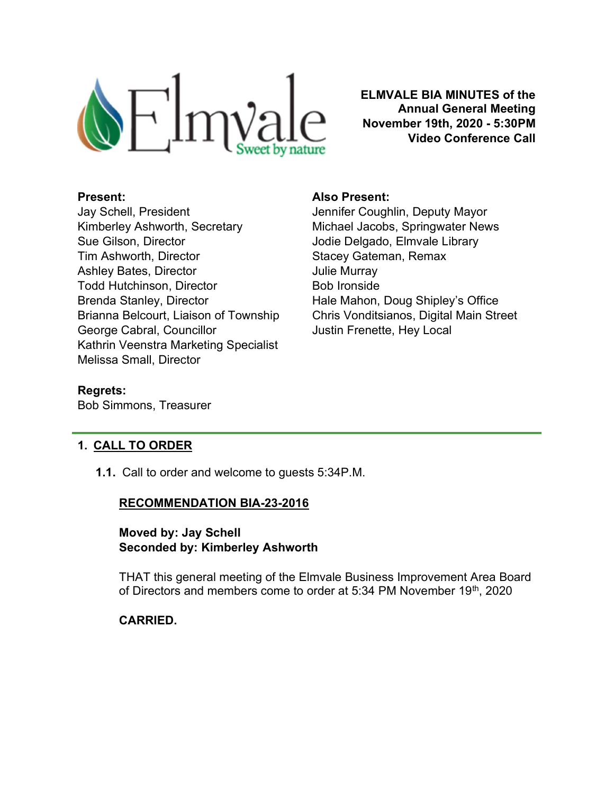

ELMVALE BIA MINUTES of the Annual General Meeting November 19th, 2020 - 5:30PM Video Conference Call

### Present:

Jay Schell, President Kimberley Ashworth, Secretary Sue Gilson, Director Tim Ashworth, Director Ashley Bates, Director Todd Hutchinson, Director Brenda Stanley, Director Brianna Belcourt, Liaison of Township George Cabral, Councillor Kathrin Veenstra Marketing Specialist Melissa Small, Director

### Also Present:

Jennifer Coughlin, Deputy Mayor Michael Jacobs, Springwater News Jodie Delgado, Elmvale Library Stacey Gateman, Remax Julie Murray Bob Ironside Hale Mahon, Doug Shipley's Office Chris Vonditsianos, Digital Main Street Justin Frenette, Hey Local

### Regrets:

Bob Simmons, Treasurer

# 1. CALL TO ORDER

1.1. Call to order and welcome to guests 5:34P.M.

### RECOMMENDATION BIA-23-2016

### Moved by: Jay Schell Seconded by: Kimberley Ashworth

THAT this general meeting of the Elmvale Business Improvement Area Board of Directors and members come to order at 5:34 PM November 19<sup>th</sup>, 2020

### CARRIED.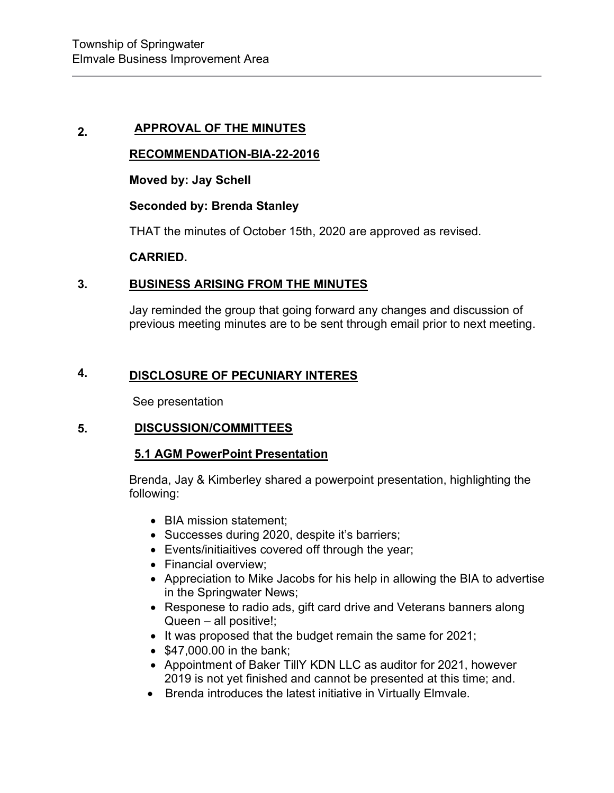# 2. APPROVAL OF THE MINUTES

### RECOMMENDATION-BIA-22-2016

Moved by: Jay Schell

### Seconded by: Brenda Stanley

THAT the minutes of October 15th, 2020 are approved as revised.

### CARRIED.

#### 3. BUSINESS ARISING FROM THE MINUTES

Jay reminded the group that going forward any changes and discussion of previous meeting minutes are to be sent through email prior to next meeting.

#### 4. DISCLOSURE OF PECUNIARY INTERES

See presentation

### 5. DISCUSSION/COMMITTEES

### 5.1 AGM PowerPoint Presentation

Brenda, Jay & Kimberley shared a powerpoint presentation, highlighting the following:

- BIA mission statement:
- Successes during 2020, despite it's barriers;
- Events/initiaitives covered off through the year;
- Financial overview:
- Appreciation to Mike Jacobs for his help in allowing the BIA to advertise in the Springwater News;
- Responese to radio ads, gift card drive and Veterans banners along Queen – all positive!;
- $\bullet$  It was proposed that the budget remain the same for 2021;
- $\bullet$  \$47,000.00 in the bank;
- Appointment of Baker TillY KDN LLC as auditor for 2021, however 2019 is not yet finished and cannot be presented at this time; and.
- Brenda introduces the latest initiative in Virtually Elmvale.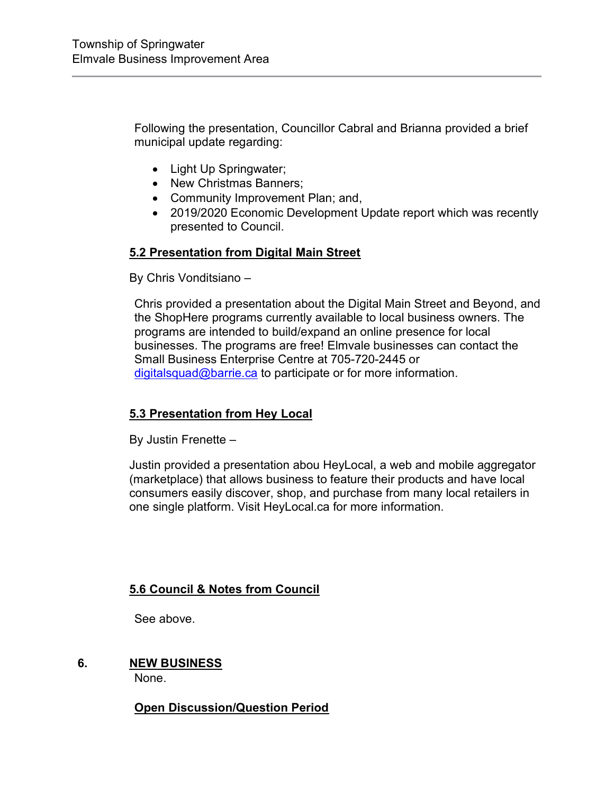Following the presentation, Councillor Cabral and Brianna provided a brief municipal update regarding:

- Light Up Springwater;
- New Christmas Banners;
- Community Improvement Plan; and,
- 2019/2020 Economic Development Update report which was recently presented to Council.

# 5.2 Presentation from Digital Main Street

By Chris Vonditsiano –

Chris provided a presentation about the Digital Main Street and Beyond, and the ShopHere programs currently available to local business owners. The programs are intended to build/expand an online presence for local businesses. The programs are free! Elmvale businesses can contact the Small Business Enterprise Centre at 705-720-2445 or digitalsquad@barrie.ca to participate or for more information.

# 5.3 Presentation from Hey Local

By Justin Frenette –

Justin provided a presentation abou HeyLocal, a web and mobile aggregator (marketplace) that allows business to feature their products and have local consumers easily discover, shop, and purchase from many local retailers in one single platform. Visit HeyLocal.ca for more information.

# 5.6 Council & Notes from Council

See above.

6. NEW BUSINESS

None.

Open Discussion/Question Period